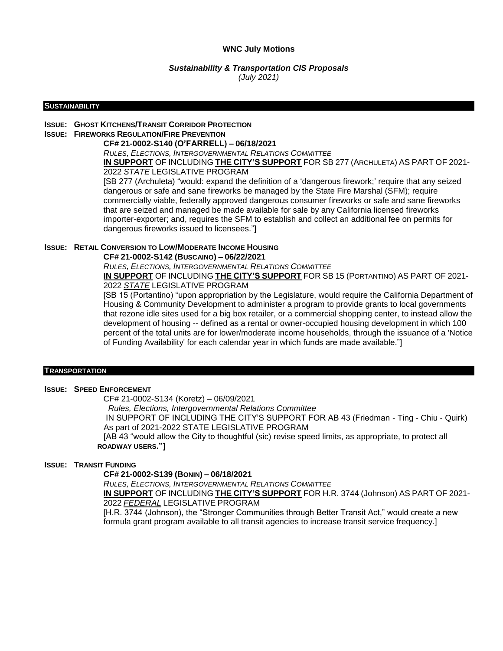### **WNC July Motions**

### *Sustainability & Transportation CIS Proposals (July 2021)*

#### **SUSTAINABILITY**

# **ISSUE: GHOST KITCHENS/TRANSIT CORRIDOR PROTECTION**

# **ISSUE: FIREWORKS REGULATION/FIRE PREVENTION**

### **CF# 21-0002-S140 (O'FARRELL) – 06/18/2021**

*RULES, ELECTIONS, INTERGOVERNMENTAL RELATIONS COMMITTEE*

**IN SUPPORT** OF INCLUDING **THE CITY'S SUPPORT** FOR SB 277 (ARCHULETA) AS PART OF 2021- 2022 *STATE* LEGISLATIVE PROGRAM

[SB 277 (Archuleta) "would: expand the definition of a "dangerous firework;" require that any seized dangerous or safe and sane fireworks be managed by the State Fire Marshal (SFM); require commercially viable, federally approved dangerous consumer fireworks or safe and sane fireworks that are seized and managed be made available for sale by any California licensed fireworks importer-exporter; and, requires the SFM to establish and collect an additional fee on permits for dangerous fireworks issued to licensees."]

### **ISSUE: RETAIL CONVERSION TO LOW/MODERATE INCOME HOUSING**

#### **CF# 21-0002-S142 (BUSCAINO) – 06/22/2021**

*RULES, ELECTIONS, INTERGOVERNMENTAL RELATIONS COMMITTEE*

**IN SUPPORT** OF INCLUDING **THE CITY'S SUPPORT** FOR SB 15 (PORTANTINO) AS PART OF 2021- 2022 *STATE* LEGISLATIVE PROGRAM

[SB 15 (Portantino) "upon appropriation by the Legislature, would require the California Department of Housing & Community Development to administer a program to provide grants to local governments that rezone idle sites used for a big box retailer, or a commercial shopping center, to instead allow the development of housing -- defined as a rental or owner-occupied housing development in which 100 percent of the total units are for lower/moderate income households, through the issuance of a 'Notice of Funding Availability' for each calendar year in which funds are made available."]

#### **TRANSPORTATION**

### **ISSUE: SPEED ENFORCEMENT**

CF# 21-0002-S134 (Koretz) – 06/09/2021

 *Rules, Elections, Intergovernmental Relations Committee*

 IN SUPPORT OF INCLUDING THE CITY"S SUPPORT FOR AB 43 (Friedman - Ting - Chiu - Quirk) As part of 2021-2022 STATE LEGISLATIVE PROGRAM

 [AB 43 "would allow the City to thoughtful (sic) revise speed limits, as appropriate, to protect all  **ROADWAY USERS."]**

### **ISSUE: TRANSIT FUNDING**

### **CF# 21-0002-S139 (BONIN) – 06/18/2021**

*RULES, ELECTIONS, INTERGOVERNMENTAL RELATIONS COMMITTEE* **IN SUPPORT** OF INCLUDING **THE CITY'S SUPPORT** FOR H.R. 3744 (Johnson) AS PART OF 2021- 2022 *FEDERAL* LEGISLATIVE PROGRAM

[H.R. 3744 (Johnson), the "Stronger Communities through Better Transit Act," would create a new formula grant program available to all transit agencies to increase transit service frequency.]